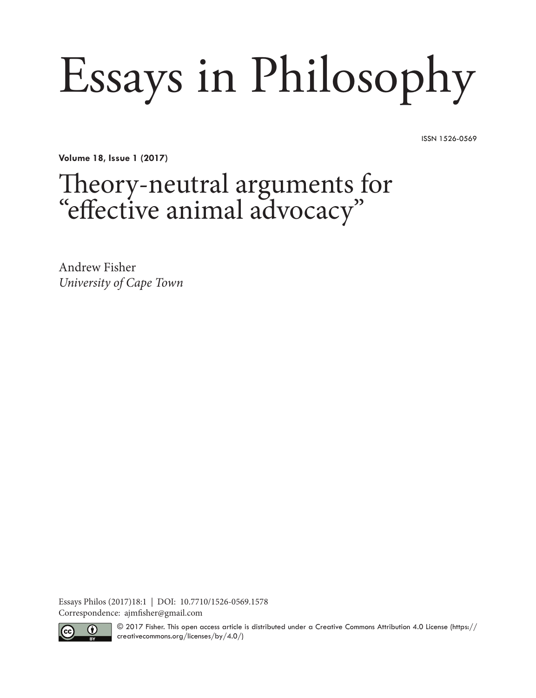# Essays in Philosophy

ISSN 1526-0569

**Volume 18, Issue 1 (2017)**

# Theory-neutral arguments for "effective animal advocacy"

Andrew Fisher *University of Cape Town*

Essays Philos (2017)18:1 | DOI: 10.7710/1526-0569.1578 Correspondence: ajmfisher@gmail.com



© 2017 Fisher. This open access article is distributed under a Creative Commons Attribution 4.0 License (https:// creativecommons.org/licenses/by/4.0/)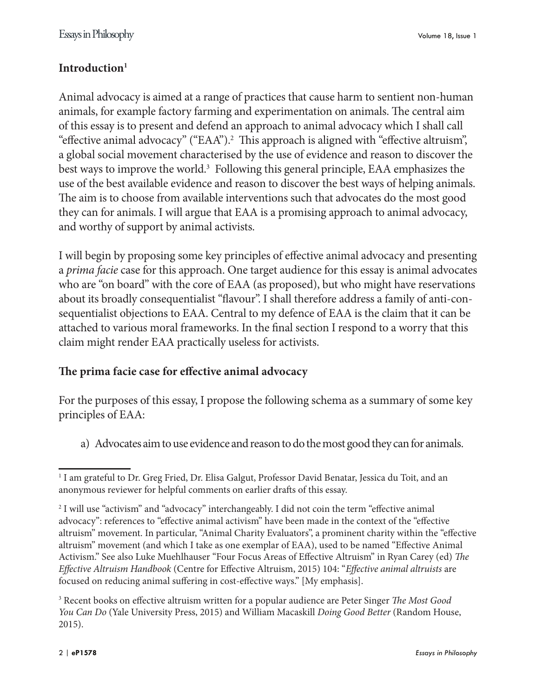### **Introduction1**

Animal advocacy is aimed at a range of practices that cause harm to sentient non-human animals, for example factory farming and experimentation on animals. The central aim of this essay is to present and defend an approach to animal advocacy which I shall call "effective animal advocacy" ("EAA").2 This approach is aligned with "effective altruism", a global social movement characterised by the use of evidence and reason to discover the best ways to improve the world.<sup>3</sup> Following this general principle, EAA emphasizes the use of the best available evidence and reason to discover the best ways of helping animals. The aim is to choose from available interventions such that advocates do the most good they can for animals. I will argue that EAA is a promising approach to animal advocacy, and worthy of support by animal activists.

I will begin by proposing some key principles of effective animal advocacy and presenting a *prima facie* case for this approach. One target audience for this essay is animal advocates who are "on board" with the core of EAA (as proposed), but who might have reservations about its broadly consequentialist "flavour". I shall therefore address a family of anti-consequentialist objections to EAA. Central to my defence of EAA is the claim that it can be attached to various moral frameworks. In the final section I respond to a worry that this claim might render EAA practically useless for activists.

#### **The prima facie case for effective animal advocacy**

For the purposes of this essay, I propose the following schema as a summary of some key principles of EAA:

a) Advocates aim to use evidence and reason to do the most good they can for animals.

<sup>1</sup> I am grateful to Dr. Greg Fried, Dr. Elisa Galgut, Professor David Benatar, Jessica du Toit, and an anonymous reviewer for helpful comments on earlier drafts of this essay.

<sup>&</sup>lt;sup>2</sup> I will use "activism" and "advocacy" interchangeably. I did not coin the term "effective animal advocacy": references to "effective animal activism" have been made in the context of the "effective altruism" movement. In particular, "Animal Charity Evaluators", a prominent charity within the "effective altruism" movement (and which I take as one exemplar of EAA), used to be named "Effective Animal Activism." See also Luke Muehlhauser "Four Focus Areas of Effective Altruism" in Ryan Carey (ed) *The Effective Altruism Handbook* (Centre for Effective Altruism, 2015) 104: "*Effective animal altruists* are focused on reducing animal suffering in cost-effective ways." [My emphasis].

<sup>3</sup> Recent books on effective altruism written for a popular audience are Peter Singer *The Most Good You Can Do* (Yale University Press, 2015) and William Macaskill *Doing Good Better* (Random House, 2015).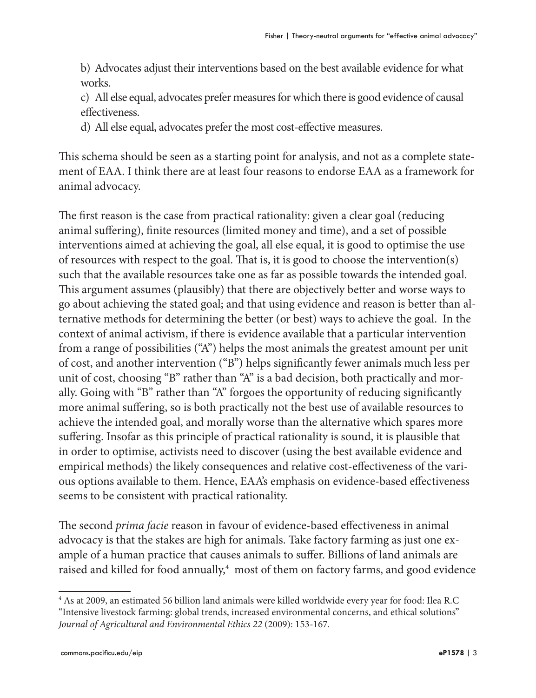b) Advocates adjust their interventions based on the best available evidence for what works.

c) All else equal, advocates prefer measures for which there is good evidence of causal effectiveness.

d) All else equal, advocates prefer the most cost-effective measures.

This schema should be seen as a starting point for analysis, and not as a complete statement of EAA. I think there are at least four reasons to endorse EAA as a framework for animal advocacy.

The first reason is the case from practical rationality: given a clear goal (reducing animal suffering), finite resources (limited money and time), and a set of possible interventions aimed at achieving the goal, all else equal, it is good to optimise the use of resources with respect to the goal. That is, it is good to choose the intervention(s) such that the available resources take one as far as possible towards the intended goal. This argument assumes (plausibly) that there are objectively better and worse ways to go about achieving the stated goal; and that using evidence and reason is better than alternative methods for determining the better (or best) ways to achieve the goal. In the context of animal activism, if there is evidence available that a particular intervention from a range of possibilities ("A") helps the most animals the greatest amount per unit of cost, and another intervention ("B") helps significantly fewer animals much less per unit of cost, choosing "B" rather than "A" is a bad decision, both practically and morally. Going with "B" rather than "A" forgoes the opportunity of reducing significantly more animal suffering, so is both practically not the best use of available resources to achieve the intended goal, and morally worse than the alternative which spares more suffering. Insofar as this principle of practical rationality is sound, it is plausible that in order to optimise, activists need to discover (using the best available evidence and empirical methods) the likely consequences and relative cost-effectiveness of the various options available to them. Hence, EAA's emphasis on evidence-based effectiveness seems to be consistent with practical rationality.

The second *prima facie* reason in favour of evidence-based effectiveness in animal advocacy is that the stakes are high for animals. Take factory farming as just one example of a human practice that causes animals to suffer. Billions of land animals are raised and killed for food annually,<sup>4</sup> most of them on factory farms, and good evidence

<sup>4</sup> As at 2009, an estimated 56 billion land animals were killed worldwide every year for food: Ilea R.C "Intensive livestock farming: global trends, increased environmental concerns, and ethical solutions" *Journal of Agricultural and Environmental Ethics 22* (2009): 153-167.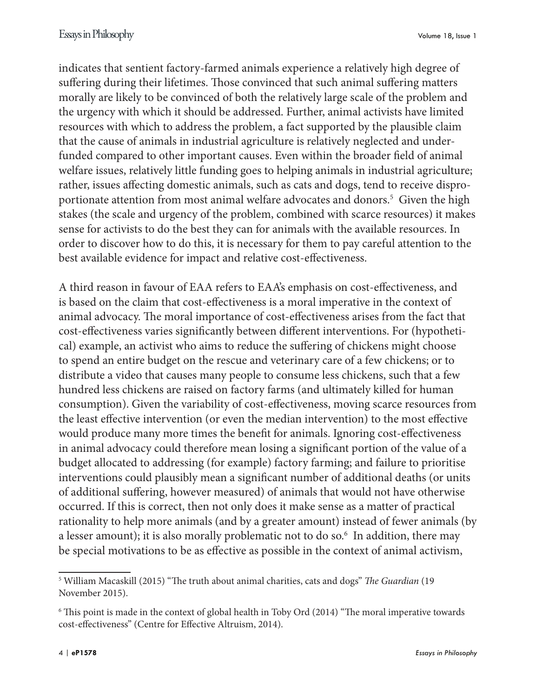indicates that sentient factory-farmed animals experience a relatively high degree of suffering during their lifetimes. Those convinced that such animal suffering matters morally are likely to be convinced of both the relatively large scale of the problem and the urgency with which it should be addressed. Further, animal activists have limited resources with which to address the problem, a fact supported by the plausible claim that the cause of animals in industrial agriculture is relatively neglected and underfunded compared to other important causes. Even within the broader field of animal welfare issues, relatively little funding goes to helping animals in industrial agriculture; rather, issues affecting domestic animals, such as cats and dogs, tend to receive disproportionate attention from most animal welfare advocates and donors.5 Given the high stakes (the scale and urgency of the problem, combined with scarce resources) it makes sense for activists to do the best they can for animals with the available resources. In order to discover how to do this, it is necessary for them to pay careful attention to the best available evidence for impact and relative cost-effectiveness.

A third reason in favour of EAA refers to EAA's emphasis on cost-effectiveness, and is based on the claim that cost-effectiveness is a moral imperative in the context of animal advocacy. The moral importance of cost-effectiveness arises from the fact that cost-effectiveness varies significantly between different interventions. For (hypothetical) example, an activist who aims to reduce the suffering of chickens might choose to spend an entire budget on the rescue and veterinary care of a few chickens; or to distribute a video that causes many people to consume less chickens, such that a few hundred less chickens are raised on factory farms (and ultimately killed for human consumption). Given the variability of cost-effectiveness, moving scarce resources from the least effective intervention (or even the median intervention) to the most effective would produce many more times the benefit for animals. Ignoring cost-effectiveness in animal advocacy could therefore mean losing a significant portion of the value of a budget allocated to addressing (for example) factory farming; and failure to prioritise interventions could plausibly mean a significant number of additional deaths (or units of additional suffering, however measured) of animals that would not have otherwise occurred. If this is correct, then not only does it make sense as a matter of practical rationality to help more animals (and by a greater amount) instead of fewer animals (by a lesser amount); it is also morally problematic not to do so.<sup>6</sup> In addition, there may be special motivations to be as effective as possible in the context of animal activism,

<sup>5</sup> William Macaskill (2015) "The truth about animal charities, cats and dogs" *The Guardian* (19 November 2015).

<sup>6</sup> This point is made in the context of global health in Toby Ord (2014) "The moral imperative towards cost-effectiveness" (Centre for Effective Altruism, 2014).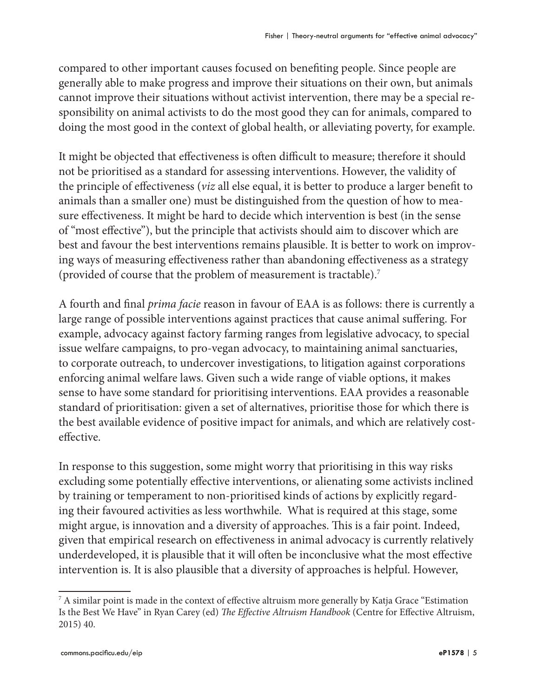compared to other important causes focused on benefiting people. Since people are generally able to make progress and improve their situations on their own, but animals cannot improve their situations without activist intervention, there may be a special responsibility on animal activists to do the most good they can for animals, compared to doing the most good in the context of global health, or alleviating poverty, for example.

It might be objected that effectiveness is often difficult to measure; therefore it should not be prioritised as a standard for assessing interventions. However, the validity of the principle of effectiveness (*viz* all else equal, it is better to produce a larger benefit to animals than a smaller one) must be distinguished from the question of how to measure effectiveness. It might be hard to decide which intervention is best (in the sense of "most effective"), but the principle that activists should aim to discover which are best and favour the best interventions remains plausible. It is better to work on improving ways of measuring effectiveness rather than abandoning effectiveness as a strategy (provided of course that the problem of measurement is tractable).7

A fourth and final *prima facie* reason in favour of EAA is as follows: there is currently a large range of possible interventions against practices that cause animal suffering. For example, advocacy against factory farming ranges from legislative advocacy, to special issue welfare campaigns, to pro-vegan advocacy, to maintaining animal sanctuaries, to corporate outreach, to undercover investigations, to litigation against corporations enforcing animal welfare laws. Given such a wide range of viable options, it makes sense to have some standard for prioritising interventions. EAA provides a reasonable standard of prioritisation: given a set of alternatives, prioritise those for which there is the best available evidence of positive impact for animals, and which are relatively costeffective.

In response to this suggestion, some might worry that prioritising in this way risks excluding some potentially effective interventions, or alienating some activists inclined by training or temperament to non-prioritised kinds of actions by explicitly regarding their favoured activities as less worthwhile. What is required at this stage, some might argue, is innovation and a diversity of approaches. This is a fair point. Indeed, given that empirical research on effectiveness in animal advocacy is currently relatively underdeveloped, it is plausible that it will often be inconclusive what the most effective intervention is. It is also plausible that a diversity of approaches is helpful. However,

 $^7$  A similar point is made in the context of effective altruism more generally by Katja Grace "Estimation  $^7$ Is the Best We Have" in Ryan Carey (ed) *The Effective Altruism Handbook* (Centre for Effective Altruism, 2015) 40.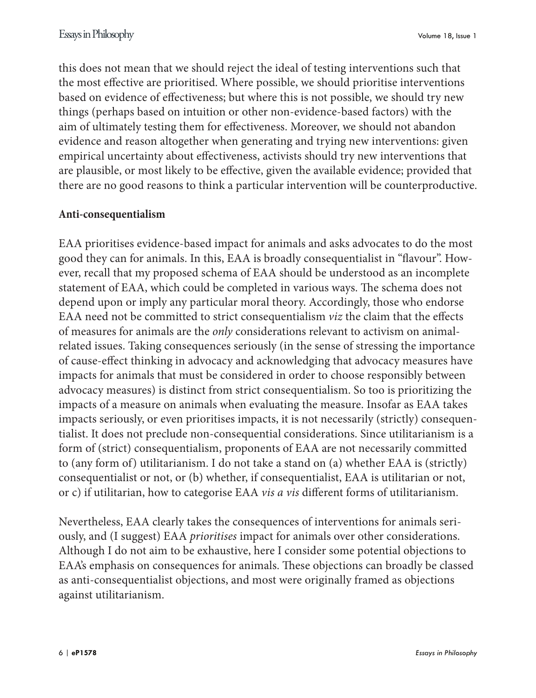this does not mean that we should reject the ideal of testing interventions such that the most effective are prioritised. Where possible, we should prioritise interventions based on evidence of effectiveness; but where this is not possible, we should try new things (perhaps based on intuition or other non-evidence-based factors) with the aim of ultimately testing them for effectiveness. Moreover, we should not abandon evidence and reason altogether when generating and trying new interventions: given empirical uncertainty about effectiveness, activists should try new interventions that are plausible, or most likely to be effective, given the available evidence; provided that there are no good reasons to think a particular intervention will be counterproductive.

#### **Anti-consequentialism**

EAA prioritises evidence-based impact for animals and asks advocates to do the most good they can for animals. In this, EAA is broadly consequentialist in "flavour". However, recall that my proposed schema of EAA should be understood as an incomplete statement of EAA, which could be completed in various ways. The schema does not depend upon or imply any particular moral theory. Accordingly, those who endorse EAA need not be committed to strict consequentialism *viz* the claim that the effects of measures for animals are the *only* considerations relevant to activism on animalrelated issues. Taking consequences seriously (in the sense of stressing the importance of cause-effect thinking in advocacy and acknowledging that advocacy measures have impacts for animals that must be considered in order to choose responsibly between advocacy measures) is distinct from strict consequentialism. So too is prioritizing the impacts of a measure on animals when evaluating the measure. Insofar as EAA takes impacts seriously, or even prioritises impacts, it is not necessarily (strictly) consequentialist. It does not preclude non-consequential considerations. Since utilitarianism is a form of (strict) consequentialism, proponents of EAA are not necessarily committed to (any form of) utilitarianism. I do not take a stand on (a) whether EAA is (strictly) consequentialist or not, or (b) whether, if consequentialist, EAA is utilitarian or not, or c) if utilitarian, how to categorise EAA *vis a vis* different forms of utilitarianism.

Nevertheless, EAA clearly takes the consequences of interventions for animals seriously, and (I suggest) EAA *prioritises* impact for animals over other considerations. Although I do not aim to be exhaustive, here I consider some potential objections to EAA's emphasis on consequences for animals. These objections can broadly be classed as anti-consequentialist objections, and most were originally framed as objections against utilitarianism.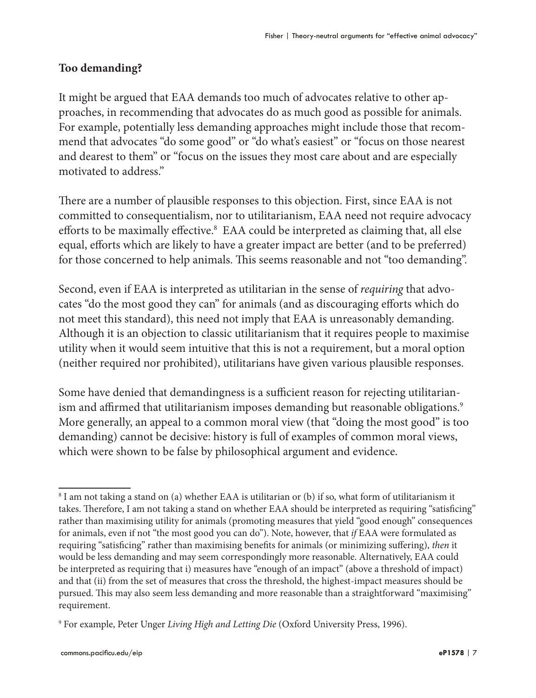#### **Too demanding?**

It might be argued that EAA demands too much of advocates relative to other approaches, in recommending that advocates do as much good as possible for animals. For example, potentially less demanding approaches might include those that recommend that advocates "do some good" or "do what's easiest" or "focus on those nearest and dearest to them" or "focus on the issues they most care about and are especially motivated to address."

There are a number of plausible responses to this objection. First, since EAA is not committed to consequentialism, nor to utilitarianism, EAA need not require advocacy efforts to be maximally effective.<sup>8</sup> EAA could be interpreted as claiming that, all else equal, efforts which are likely to have a greater impact are better (and to be preferred) for those concerned to help animals. This seems reasonable and not "too demanding".

Second, even if EAA is interpreted as utilitarian in the sense of *requiring* that advocates "do the most good they can" for animals (and as discouraging efforts which do not meet this standard), this need not imply that EAA is unreasonably demanding. Although it is an objection to classic utilitarianism that it requires people to maximise utility when it would seem intuitive that this is not a requirement, but a moral option (neither required nor prohibited), utilitarians have given various plausible responses.

Some have denied that demandingness is a sufficient reason for rejecting utilitarianism and affirmed that utilitarianism imposes demanding but reasonable obligations. $^9$ More generally, an appeal to a common moral view (that "doing the most good" is too demanding) cannot be decisive: history is full of examples of common moral views, which were shown to be false by philosophical argument and evidence.

<sup>8</sup> I am not taking a stand on (a) whether EAA is utilitarian or (b) if so, what form of utilitarianism it takes. Therefore, I am not taking a stand on whether EAA should be interpreted as requiring "satisficing" rather than maximising utility for animals (promoting measures that yield "good enough" consequences for animals, even if not "the most good you can do"). Note, however, that *if* EAA were formulated as requiring "satisficing" rather than maximising benefits for animals (or minimizing suffering), *then* it would be less demanding and may seem correspondingly more reasonable. Alternatively, EAA could be interpreted as requiring that i) measures have "enough of an impact" (above a threshold of impact) and that (ii) from the set of measures that cross the threshold, the highest-impact measures should be pursued. This may also seem less demanding and more reasonable than a straightforward "maximising" requirement.

<sup>9</sup> For example, Peter Unger *Living High and Letting Die* (Oxford University Press, 1996).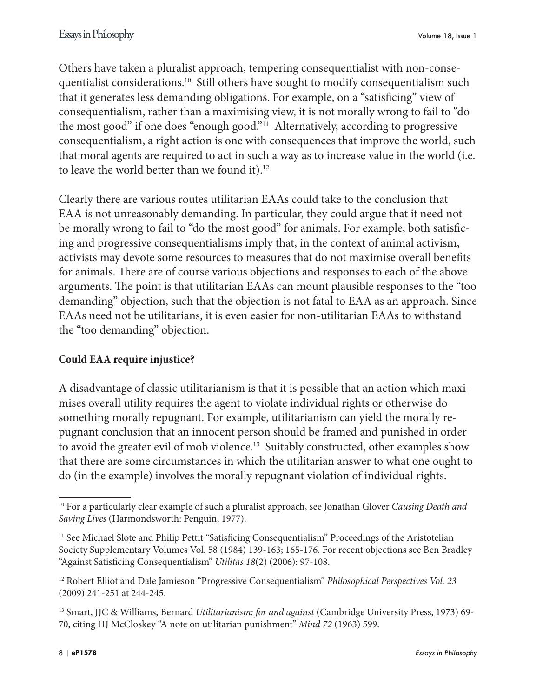Others have taken a pluralist approach, tempering consequentialist with non-consequentialist considerations.<sup>10</sup> Still others have sought to modify consequentialism such that it generates less demanding obligations. For example, on a "satisficing" view of consequentialism, rather than a maximising view, it is not morally wrong to fail to "do the most good" if one does "enough good."11 Alternatively, according to progressive consequentialism, a right action is one with consequences that improve the world, such that moral agents are required to act in such a way as to increase value in the world (i.e. to leave the world better than we found it).<sup>12</sup>

Clearly there are various routes utilitarian EAAs could take to the conclusion that EAA is not unreasonably demanding. In particular, they could argue that it need not be morally wrong to fail to "do the most good" for animals. For example, both satisficing and progressive consequentialisms imply that, in the context of animal activism, activists may devote some resources to measures that do not maximise overall benefits for animals. There are of course various objections and responses to each of the above arguments. The point is that utilitarian EAAs can mount plausible responses to the "too demanding" objection, such that the objection is not fatal to EAA as an approach. Since EAAs need not be utilitarians, it is even easier for non-utilitarian EAAs to withstand the "too demanding" objection.

# **Could EAA require injustice?**

A disadvantage of classic utilitarianism is that it is possible that an action which maximises overall utility requires the agent to violate individual rights or otherwise do something morally repugnant. For example, utilitarianism can yield the morally repugnant conclusion that an innocent person should be framed and punished in order to avoid the greater evil of mob violence.<sup>13</sup> Suitably constructed, other examples show that there are some circumstances in which the utilitarian answer to what one ought to do (in the example) involves the morally repugnant violation of individual rights.

<sup>10</sup> For a particularly clear example of such a pluralist approach, see Jonathan Glover *Causing Death and Saving Lives* (Harmondsworth: Penguin, 1977).

<sup>&</sup>lt;sup>11</sup> See Michael Slote and Philip Pettit "Satisficing Consequentialism" Proceedings of the Aristotelian Society Supplementary Volumes Vol. 58 (1984) 139-163; 165-176. For recent objections see Ben Bradley "Against Satisficing Consequentialism" *Utilitas 18*(2) (2006): 97-108.

<sup>12</sup> Robert Elliot and Dale Jamieson "Progressive Consequentialism" *Philosophical Perspectives Vol. 23* (2009) 241-251 at 244-245.

<sup>13</sup> Smart, JJC & Williams, Bernard *Utilitarianism: for and against* (Cambridge University Press, 1973) 69- 70, citing HJ McCloskey "A note on utilitarian punishment" *Mind 72* (1963) 599.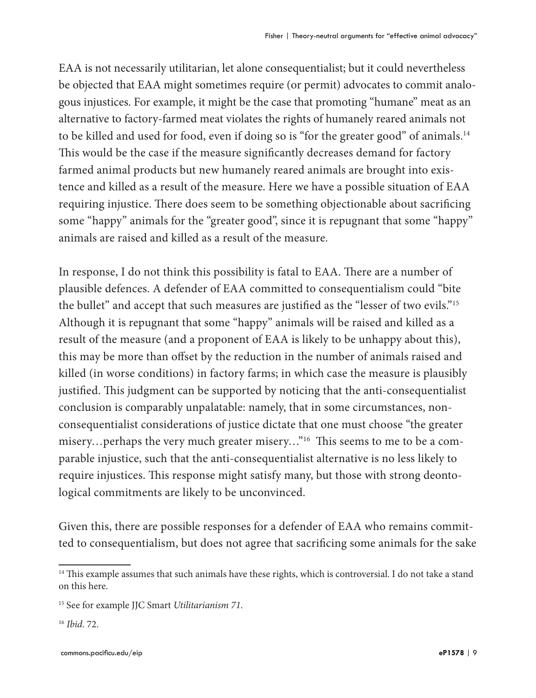EAA is not necessarily utilitarian, let alone consequentialist; but it could nevertheless be objected that EAA might sometimes require (or permit) advocates to commit analogous injustices. For example, it might be the case that promoting "humane" meat as an alternative to factory-farmed meat violates the rights of humanely reared animals not to be killed and used for food, even if doing so is "for the greater good" of animals.<sup>14</sup> This would be the case if the measure significantly decreases demand for factory farmed animal products but new humanely reared animals are brought into existence and killed as a result of the measure. Here we have a possible situation of EAA requiring injustice. There does seem to be something objectionable about sacrificing some "happy" animals for the "greater good", since it is repugnant that some "happy" animals are raised and killed as a result of the measure.

In response, I do not think this possibility is fatal to EAA. There are a number of plausible defences. A defender of EAA committed to consequentialism could "bite the bullet" and accept that such measures are justified as the "lesser of two evils."<sup>15</sup> Although it is repugnant that some "happy" animals will be raised and killed as a result of the measure (and a proponent of EAA is likely to be unhappy about this), this may be more than offset by the reduction in the number of animals raised and killed (in worse conditions) in factory farms; in which case the measure is plausibly justified. This judgment can be supported by noticing that the anti-consequentialist conclusion is comparably unpalatable: namely, that in some circumstances, nonconsequentialist considerations of justice dictate that one must choose "the greater misery…perhaps the very much greater misery…"16 This seems to me to be a comparable injustice, such that the anti-consequentialist alternative is no less likely to require injustices. This response might satisfy many, but those with strong deontological commitments are likely to be unconvinced.

Given this, there are possible responses for a defender of EAA who remains committed to consequentialism, but does not agree that sacrificing some animals for the sake

<sup>&</sup>lt;sup>14</sup> This example assumes that such animals have these rights, which is controversial. I do not take a stand on this here.

<sup>15</sup> See for example JJC Smart *Utilitarianism 71*.

<sup>16</sup> *Ibid*. 72.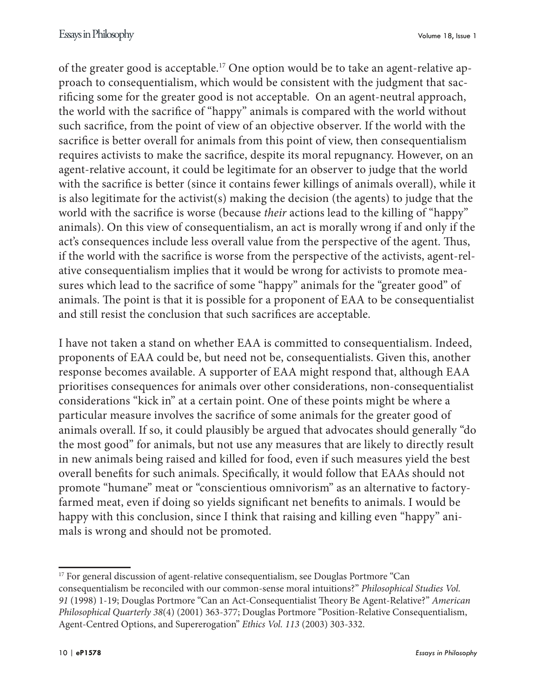of the greater good is acceptable.17 One option would be to take an agent-relative approach to consequentialism, which would be consistent with the judgment that sacrificing some for the greater good is not acceptable. On an agent-neutral approach, the world with the sacrifice of "happy" animals is compared with the world without such sacrifice, from the point of view of an objective observer. If the world with the sacrifice is better overall for animals from this point of view, then consequentialism requires activists to make the sacrifice, despite its moral repugnancy. However, on an agent-relative account, it could be legitimate for an observer to judge that the world with the sacrifice is better (since it contains fewer killings of animals overall), while it is also legitimate for the activist(s) making the decision (the agents) to judge that the world with the sacrifice is worse (because *their* actions lead to the killing of "happy" animals). On this view of consequentialism, an act is morally wrong if and only if the act's consequences include less overall value from the perspective of the agent. Thus, if the world with the sacrifice is worse from the perspective of the activists, agent-relative consequentialism implies that it would be wrong for activists to promote measures which lead to the sacrifice of some "happy" animals for the "greater good" of animals. The point is that it is possible for a proponent of EAA to be consequentialist and still resist the conclusion that such sacrifices are acceptable.

I have not taken a stand on whether EAA is committed to consequentialism. Indeed, proponents of EAA could be, but need not be, consequentialists. Given this, another response becomes available. A supporter of EAA might respond that, although EAA prioritises consequences for animals over other considerations, non-consequentialist considerations "kick in" at a certain point. One of these points might be where a particular measure involves the sacrifice of some animals for the greater good of animals overall. If so, it could plausibly be argued that advocates should generally "do the most good" for animals, but not use any measures that are likely to directly result in new animals being raised and killed for food, even if such measures yield the best overall benefits for such animals. Specifically, it would follow that EAAs should not promote "humane" meat or "conscientious omnivorism" as an alternative to factoryfarmed meat, even if doing so yields significant net benefits to animals. I would be happy with this conclusion, since I think that raising and killing even "happy" animals is wrong and should not be promoted.

<sup>&</sup>lt;sup>17</sup> For general discussion of agent-relative consequentialism, see Douglas Portmore "Can consequentialism be reconciled with our common-sense moral intuitions?" *Philosophical Studies Vol. 91* (1998) 1-19; Douglas Portmore "Can an Act-Consequentialist Theory Be Agent-Relative?" *American Philosophical Quarterly 38*(4) (2001) 363-377; Douglas Portmore "Position-Relative Consequentialism, Agent-Centred Options, and Supererogation" *Ethics Vol. 113* (2003) 303-332.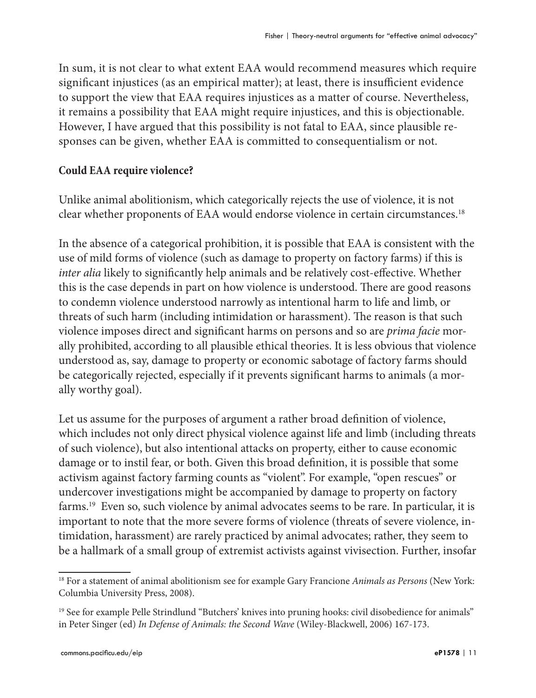In sum, it is not clear to what extent EAA would recommend measures which require significant injustices (as an empirical matter); at least, there is insufficient evidence to support the view that EAA requires injustices as a matter of course. Nevertheless, it remains a possibility that EAA might require injustices, and this is objectionable. However, I have argued that this possibility is not fatal to EAA, since plausible responses can be given, whether EAA is committed to consequentialism or not.

#### **Could EAA require violence?**

Unlike animal abolitionism, which categorically rejects the use of violence, it is not clear whether proponents of EAA would endorse violence in certain circumstances.<sup>18</sup>

In the absence of a categorical prohibition, it is possible that EAA is consistent with the use of mild forms of violence (such as damage to property on factory farms) if this is *inter alia* likely to significantly help animals and be relatively cost-effective. Whether this is the case depends in part on how violence is understood. There are good reasons to condemn violence understood narrowly as intentional harm to life and limb, or threats of such harm (including intimidation or harassment). The reason is that such violence imposes direct and significant harms on persons and so are *prima facie* morally prohibited, according to all plausible ethical theories. It is less obvious that violence understood as, say, damage to property or economic sabotage of factory farms should be categorically rejected, especially if it prevents significant harms to animals (a morally worthy goal).

Let us assume for the purposes of argument a rather broad definition of violence, which includes not only direct physical violence against life and limb (including threats of such violence), but also intentional attacks on property, either to cause economic damage or to instil fear, or both. Given this broad definition, it is possible that some activism against factory farming counts as "violent". For example, "open rescues" or undercover investigations might be accompanied by damage to property on factory farms.<sup>19</sup> Even so, such violence by animal advocates seems to be rare. In particular, it is important to note that the more severe forms of violence (threats of severe violence, intimidation, harassment) are rarely practiced by animal advocates; rather, they seem to be a hallmark of a small group of extremist activists against vivisection. Further, insofar

<sup>18</sup> For a statement of animal abolitionism see for example Gary Francione *Animals as Persons* (New York: Columbia University Press, 2008).

<sup>19</sup> See for example Pelle Strindlund "Butchers' knives into pruning hooks: civil disobedience for animals" in Peter Singer (ed) *In Defense of Animals: the Second Wave* (Wiley-Blackwell, 2006) 167-173.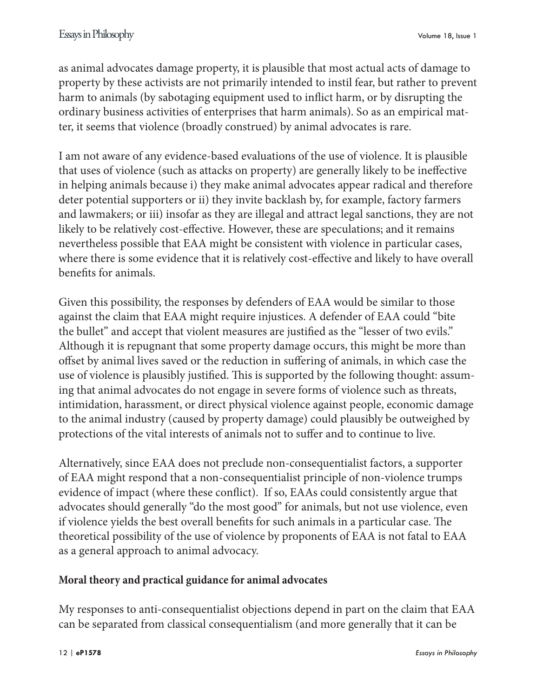as animal advocates damage property, it is plausible that most actual acts of damage to property by these activists are not primarily intended to instil fear, but rather to prevent harm to animals (by sabotaging equipment used to inflict harm, or by disrupting the ordinary business activities of enterprises that harm animals). So as an empirical matter, it seems that violence (broadly construed) by animal advocates is rare.

I am not aware of any evidence-based evaluations of the use of violence. It is plausible that uses of violence (such as attacks on property) are generally likely to be ineffective in helping animals because i) they make animal advocates appear radical and therefore deter potential supporters or ii) they invite backlash by, for example, factory farmers and lawmakers; or iii) insofar as they are illegal and attract legal sanctions, they are not likely to be relatively cost-effective. However, these are speculations; and it remains nevertheless possible that EAA might be consistent with violence in particular cases, where there is some evidence that it is relatively cost-effective and likely to have overall benefits for animals.

Given this possibility, the responses by defenders of EAA would be similar to those against the claim that EAA might require injustices. A defender of EAA could "bite the bullet" and accept that violent measures are justified as the "lesser of two evils." Although it is repugnant that some property damage occurs, this might be more than offset by animal lives saved or the reduction in suffering of animals, in which case the use of violence is plausibly justified. This is supported by the following thought: assuming that animal advocates do not engage in severe forms of violence such as threats, intimidation, harassment, or direct physical violence against people, economic damage to the animal industry (caused by property damage) could plausibly be outweighed by protections of the vital interests of animals not to suffer and to continue to live.

Alternatively, since EAA does not preclude non-consequentialist factors, a supporter of EAA might respond that a non-consequentialist principle of non-violence trumps evidence of impact (where these conflict). If so, EAAs could consistently argue that advocates should generally "do the most good" for animals, but not use violence, even if violence yields the best overall benefits for such animals in a particular case. The theoretical possibility of the use of violence by proponents of EAA is not fatal to EAA as a general approach to animal advocacy.

# **Moral theory and practical guidance for animal advocates**

My responses to anti-consequentialist objections depend in part on the claim that EAA can be separated from classical consequentialism (and more generally that it can be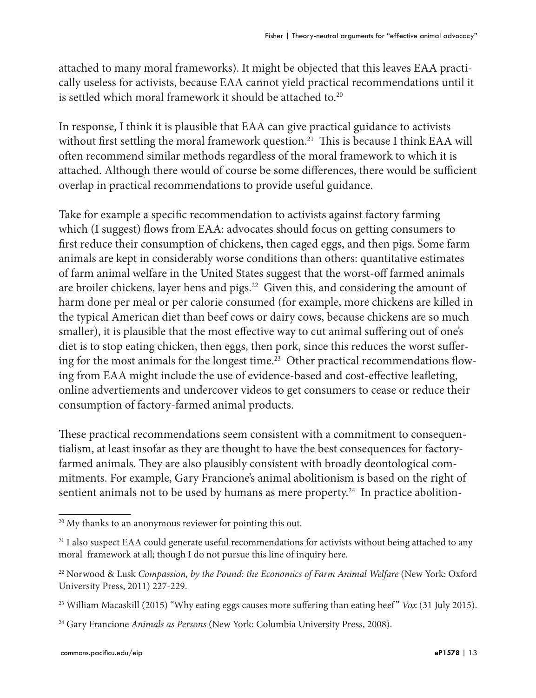attached to many moral frameworks). It might be objected that this leaves EAA practically useless for activists, because EAA cannot yield practical recommendations until it is settled which moral framework it should be attached to.<sup>20</sup>

In response, I think it is plausible that EAA can give practical guidance to activists without first settling the moral framework question.<sup>21</sup> This is because I think EAA will often recommend similar methods regardless of the moral framework to which it is attached. Although there would of course be some differences, there would be sufficient overlap in practical recommendations to provide useful guidance.

Take for example a specific recommendation to activists against factory farming which (I suggest) flows from EAA: advocates should focus on getting consumers to first reduce their consumption of chickens, then caged eggs, and then pigs. Some farm animals are kept in considerably worse conditions than others: quantitative estimates of farm animal welfare in the United States suggest that the worst-off farmed animals are broiler chickens, layer hens and pigs.<sup>22</sup> Given this, and considering the amount of harm done per meal or per calorie consumed (for example, more chickens are killed in the typical American diet than beef cows or dairy cows, because chickens are so much smaller), it is plausible that the most effective way to cut animal suffering out of one's diet is to stop eating chicken, then eggs, then pork, since this reduces the worst suffering for the most animals for the longest time.<sup>23</sup> Other practical recommendations flowing from EAA might include the use of evidence-based and cost-effective leafleting, online advertiements and undercover videos to get consumers to cease or reduce their consumption of factory-farmed animal products.

These practical recommendations seem consistent with a commitment to consequentialism, at least insofar as they are thought to have the best consequences for factoryfarmed animals. They are also plausibly consistent with broadly deontological commitments. For example, Gary Francione's animal abolitionism is based on the right of sentient animals not to be used by humans as mere property.<sup>24</sup> In practice abolition-

<sup>&</sup>lt;sup>20</sup> My thanks to an anonymous reviewer for pointing this out.

<sup>&</sup>lt;sup>21</sup> I also suspect EAA could generate useful recommendations for activists without being attached to any moral framework at all; though I do not pursue this line of inquiry here.

<sup>22</sup> Norwood & Lusk *Compassion, by the Pound: the Economics of Farm Animal Welfare* (New York: Oxford University Press, 2011) 227-229.

<sup>&</sup>lt;sup>23</sup> William Macaskill (2015) "Why eating eggs causes more suffering than eating beef" *Vox* (31 July 2015).

<sup>24</sup> Gary Francione *Animals as Persons* (New York: Columbia University Press, 2008).